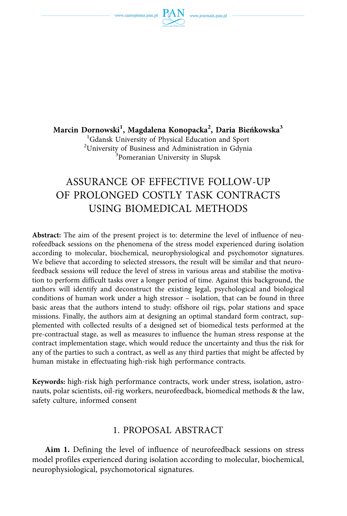

**Marcin Dornowski<sup>1</sup> , Magdalena Konopacka<sup>2</sup> , Daria Bieńkowska3**  1 Gdansk University of Physical Education and Sport <sup>2</sup>University of Business and Administration in Gdynia  $\frac{3}{2}$ Pomeranian University in Slunsk Pomeranian University in Slupsk

# ASSURANCE OF EFFECTIVE FOLLOW-UP OF PROLONGED COSTLY TASK CONTRACTS USING BIOMEDICAL METHODS

**Abstract:** The aim of the present project is to: determine the level of influence of neurofeedback sessions on the phenomena of the stress model experienced during isolation according to molecular, biochemical, neurophysiological and psychomotor signatures. We believe that according to selected stressors, the result will be similar and that neurofeedback sessions will reduce the level of stress in various areas and stabilise the motivation to perform difficult tasks over a longer period of time. Against this background, the authors will identify and deconstruct the existing legal, psychological and biological conditions of human work under a high stressor – isolation, that can be found in three basic areas that the authors intend to study: offshore oil rigs, polar stations and space missions. Finally, the authors aim at designing an optimal standard form contract, supplemented with collected results of a designed set of biomedical tests performed at the pre-contractual stage, as well as measures to influence the human stress response at the contract implementation stage, which would reduce the uncertainty and thus the risk for any of the parties to such a contract, as well as any third parties that might be affected by human mistake in effectuating high-risk high performance contracts.

**Keywords:** high-risk high performance contracts, work under stress, isolation, astronauts, polar scientists, oil-rig workers, neurofeedback, biomedical methods & the law, safety culture, informed consent

# 1. PROPOSAL ABSTRACT

**Aim 1.** Defining the level of influence of neurofeedback sessions on stress model profiles experienced during isolation according to molecular, biochemical, neurophysiological, psychomotorical signatures.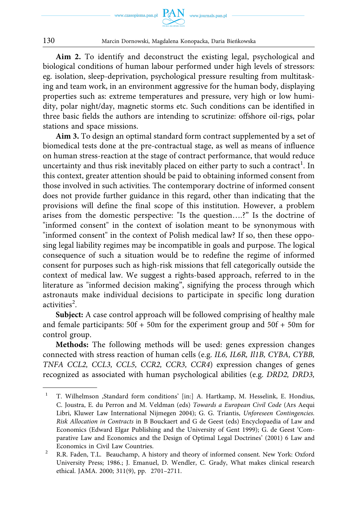

**Aim 2.** To identify and deconstruct the existing legal, psychological and biological conditions of human labour performed under high levels of stressors: eg. isolation, sleep-deprivation, psychological pressure resulting from multitasking and team work, in an environment aggressive for the human body, displaying properties such as: extreme temperatures and pressure, very high or low humidity, polar night/day, magnetic storms etc. Such conditions can be identified in three basic fields the authors are intending to scrutinize: offshore oil-rigs, polar stations and space missions.

**Aim 3.** To design an optimal standard form contract supplemented by a set of biomedical tests done at the pre-contractual stage, as well as means of influence on human stress-reaction at the stage of contract performance, that would reduce uncertainty and thus risk inevitably placed on either party to such a contract $^{\rm l}$ . In this context, greater attention should be paid to obtaining informed consent from those involved in such activities. The contemporary doctrine of informed consent does not provide further guidance in this regard, other than indicating that the provisions will define the final scope of this institution. However, a problem arises from the domestic perspective: "Is the question….?" Is the doctrine of "informed consent" in the context of isolation meant to be synonymous with "informed consent" in the context of Polish medical law? If so, then these opposing legal liability regimes may be incompatible in goals and purpose. The logical consequence of such a situation would be to redefine the regime of informed consent for purposes such as high-risk missions that fell categorically outside the context of medical law. We suggest a rights-based approach, referred to in the literature as "informed decision making", signifying the process through which astronauts make individual decisions to participate in specific long duration activities<sup>2</sup>.

**Subject:** A case control approach will be followed comprising of healthy male and female participants:  $50f + 50m$  for the experiment group and  $50f + 50m$  for control group.

**Methods:** The following methods will be used: genes expression changes connected with stress reaction of human cells (e.g. *IL6, IL6R, Il1B, CYBA, CYBB, TNFA CCL2, CCL3, CCL5, CCR2, CCR3, CCR4*) expression changes of genes recognized as associated with human psychological abilities (e.g. *DRD2, DRD3,* 

<sup>&</sup>lt;sup>1</sup> T. Wilhelmson ,Standard form conditions' [in:] A. Hartkamp, M. Hesselink, E. Hondius, C. Joustra, E. du Perron and M. Veldman (eds) *Towards a European Civil Code* (Ars Aequi Libri, Kluwer Law International Nijmegen 2004); G. G. Triantis, *Unforeseen Contingencies. Risk Allocation in Contracts* in B Bouckaert and G de Geest (eds) Encyclopaedia of Law and Economics (Edward Elgar Publishing and the University of Gent 1999); G. de Geest 'Comparative Law and Economics and the Design of Optimal Legal Doctrines' (2001) 6 Law and

Economics in Civil Law Countries.<br><sup>2</sup> R.R. Faden, T.L. Beauchamp, A history and theory of informed consent. New York: Oxford University Press; 1986.; J. Emanuel, D. Wendler, C. Grady, What makes clinical research ethical. JAMA. 2000; 311(9), pp. 2701–2711.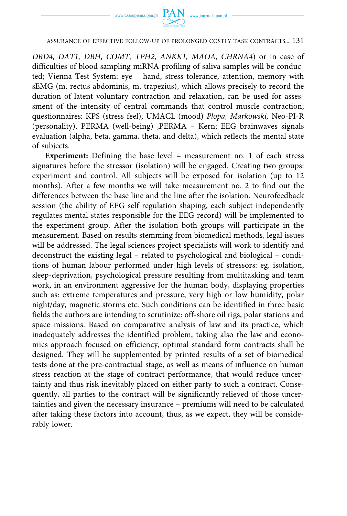

*DRD4, DAT1, DBH, COMT, TPH2, ANKK1, MAOA, CHRNA4*) or in case of difficulties of blood sampling miRNA profiling of saliva samples will be conducted; Vienna Test System: eye – hand, stress tolerance, attention, memory with sEMG (m. rectus abdominis, m. trapezius), which allows precisely to record the duration of latent voluntary contraction and relaxation, can be used for assessment of the intensity of central commands that control muscle contraction; questionnaires: KPS (stress feel), UMACL (mood) *Plopa, Markowski,* Neo-PI-R (personality), PERMA (well-being) ,PERMA – Kern; EEG brainwaves signals evaluation (alpha, beta, gamma, theta, and delta), which reflects the mental state of subjects.

**Experiment:** Defining the base level – measurement no. 1 of each stress signatures before the stressor (isolation) will be engaged. Creating two groups: experiment and control. All subjects will be exposed for isolation (up to 12 months). After a few months we will take measurement no. 2 to find out the differences between the base line and the line after the isolation. Neurofeedback session (the ability of EEG self regulation shaping, each subject independently regulates mental states responsible for the EEG record) will be implemented to the experiment group. After the isolation both groups will participate in the measurement. Based on results stemming from biomedical methods, legal issues will be addressed. The legal sciences project specialists will work to identify and deconstruct the existing legal – related to psychological and biological – conditions of human labour performed under high levels of stressors: eg. isolation, sleep-deprivation, psychological pressure resulting from multitasking and team work, in an environment aggressive for the human body, displaying properties such as: extreme temperatures and pressure, very high or low humidity, polar night/day, magnetic storms etc. Such conditions can be identified in three basic fields the authors are intending to scrutinize: off-shore oil rigs, polar stations and space missions. Based on comparative analysis of law and its practice, which inadequately addresses the identified problem, taking also the law and economics approach focused on efficiency, optimal standard form contracts shall be designed. They will be supplemented by printed results of a set of biomedical tests done at the pre-contractual stage, as well as means of influence on human stress reaction at the stage of contract performance, that would reduce uncertainty and thus risk inevitably placed on either party to such a contract. Consequently, all parties to the contract will be significantly relieved of those uncertainties and given the necessary insurance – premiums will need to be calculated after taking these factors into account, thus, as we expect, they will be considerably lower.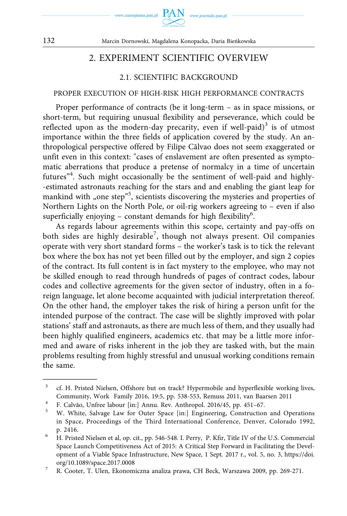

# 2. EXPERIMENT SCIENTIFIC OVERVIEW

## 2.1. SCIENTIFIC BACKGROUND

#### PROPER EXECUTION OF HIGH-RISK HIGH PERFORMANCE CONTRACTS

Proper performance of contracts (be it long-term – as in space missions, or short-term, but requiring unusual flexibility and perseverance, which could be reflected upon as the modern-day precarity, even if well-paid)<sup>3</sup> is of utmost importance within the three fields of application covered by the study. An anthropological perspective offered by Filipe Cãlvao does not seem exaggerated or unfit even in this context: "cases of enslavement are often presented as symptomatic aberrations that produce a pretense of normalcy in a time of uncertain futures"<sup>4</sup> . Such might occasionally be the sentiment of well-paid and highly- -estimated astronauts reaching for the stars and and enabling the giant leap for mankind with "one step"<sup>5</sup>, scientists discovering the mysteries and properties of Northern Lights on the North Pole, or oil-rig workers agreeing to – even if also superficially enjoying - constant demands for high flexibility<sup>6</sup>.

As regards labour agreements within this scope, certainty and pay-offs on both sides are highly desirable<sup>7</sup>, though not always present. Oil companies operate with very short standard forms – the worker's task is to tick the relevant box where the box has not yet been filled out by the employer, and sign 2 copies of the contract. Its full content is in fact mystery to the employee, who may not be skilled enough to read through hundreds of pages of contract codes, labour codes and collective agreements for the given sector of industry, often in a foreign language, let alone become acquainted with judicial interpretation thereof. On the other hand, the employer takes the risk of hiring a person unfit for the intended purpose of the contract. The case will be slightly improved with polar stations' staff and astronauts, as there are much less of them, and they usually had been highly qualified engineers, academics etc. that may be a little more informed and aware of risks inherent in the job they are tasked with, but the main problems resulting from highly stressful and unusual working conditions remain the same.

<sup>&</sup>lt;sup>3</sup> cf. H. Pristed Nielsen, Offshore but on track? Hypermobile and hyperflexible working lives, Community, Work Family 2016, 19:5, pp. 538-553, Remuss 2011, van Baarsen 2011<br><sup>4</sup> F. Calvão, Unfree labour [in:] Annu. Rev. Anthropol. 2016/45, pp. 451–67.<br><sup>5</sup> W. White, Salvage Law for Outer Space [in:] Engineering, Const

in Space, Proceedings of the Third International Conference, Denver, Colorado 1992, p. 2416. 6 H. Pristed Nielsen et al, op. cit., pp. 546-548. I. Perry, P. Kfir, Title IV of the U.S. Commercial

Space Launch Competitiveness Act of 2015: A Critical Step Forward in Facilitating the Development of a Viable Space Infrastructure, New Space, 1 Sept. 2017 r., vol. 5, no. 3, [https://doi.](https://doi.org/10.1089/space.2017.0008) 

[org/10.1089/space.2017.0008](https://doi.org/10.1089/space.2017.0008) 7 R. Cooter, T. Ulen, Ekonomiczna analiza prawa, CH Beck, Warszawa 2009, pp. 269-271.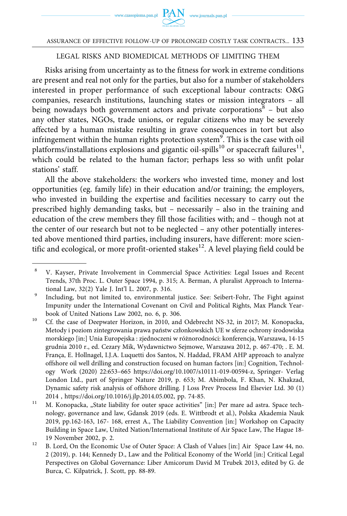## LEGAL RISKS AND BIOMEDICAL METHODS OF LIMITING THEM

Risks arising from uncertainty as to the fitness for work in extreme conditions are present and real not only for the parties, but also for a number of stakeholders interested in proper performance of such exceptional labour contracts: O&G companies, research institutions, launching states or mission integrators – all being nowadays both government actors and private corporations $8 -$  but also any other states, NGOs, trade unions, or regular citizens who may be severely affected by a human mistake resulting in grave consequences in tort but also infringement within the human rights protection system $^{9}$ . This is the case with oil platforms/installations explosions and gigantic oil-spills<sup>10</sup> or spacecraft failures<sup>11</sup>, which could be related to the human factor; perhaps less so with unfit polar stations' staff.

All the above stakeholders: the workers who invested time, money and lost opportunities (eg. family life) in their education and/or training; the employers, who invested in building the expertise and facilities necessary to carry out the prescribed highly demanding tasks, but – necessarily – also in the training and education of the crew members they fill those facilities with; and – though not at the center of our research but not to be neglected – any other potentially interested above mentioned third parties, including insurers, have different: more scientific and ecological, or more profit-oriented stakes $^{12}$ . A level playing field could be

<sup>8</sup> V. Kayser, Private Involvement in Commercial Space Activities: Legal Issues and Recent Trends, 37th Proc. L. Outer Space 1994, p. 315; A. Berman, A pluralist Approach to Interna-

tional Law, 32(2) Yale J. Int'l L. 2007, p. 316. 9 Including, but not limited to, environmental justice. See: Seibert-Fohr, The Fight against Impunity under the International Covenant on Civil and Political Rights, Max Planck Year-

book of United Nations Law 2002, no. 6, p. 306.<br><sup>10</sup> Cf. the case of Deepwater Horizon, in 2010, and Odebrecht NS-32, in 2017; M. Konopacka, Metody i poziom zintegrowania prawa państw członkowskich UE w sferze ochrony środowiska morskiego [in:] Unia Europejska : zjednoczeni w różnorodności: konferencja, Warszawa, 14-15 grudnia 2010 r., ed. Cezary Mik, Wydawnictwo Sejmowe, Warszawa 2012, p. 467-470; . E. M. França, E. Hollnagel, I.J.A. Luquetti dos Santos, N. Haddad, FRAM AHP approach to analyze offshore oil well drilling and construction focused on human factors [in:] Cognition, Technology Work (2020) 22:653–665 [https://doi.org/10.1007/s10111-019-00594-z,](https://doi.org/10.1007/s10111-019-00594-z) Springer- Verlag London Ltd., part of Springer Nature 2019, p. 653; M. Abimbola, F. Khan, N. Khakzad, Dynamic safety risk analysis of offshore drilling. J Loss Prev Process Ind Elsevier Ltd. 30 (1)

<sup>2014 ,</sup> [https://doi.org/10.1016/j.jlp.2014.05.002,](https://doi.org/10.1016/j.jlp.2014.05.002) pp. 74-85.<br><sup>11</sup> M. Konopacka, "State liability for outer space activities" [in:] Per mare ad astra. Space technology, governance and law, Gdansk 2019 (eds. E. Wittbrodt et al.), Polska Akademia Nauk 2019, pp.162-163, 167- 168, errest A., The Liability Convention [in:] Workshop on Capacity Building in Space Law, United Nation/International Institute of Air Space Law, The Hague 18-

<sup>19</sup> November 2002, p. 2.<br><sup>12</sup> B. Lord, On the Economic Use of Outer Space: A Clash of Values [in:] Air Space Law 44, no. 2 (2019), p. 144; Kennedy D., Law and the Political Economy of the World [in:] Critical Legal Perspectives on Global Governance: Liber Amicorum David M Trubek 2013, edited by G. de Burca, C. Kilpatrick, J. Scott, pp. 88-89.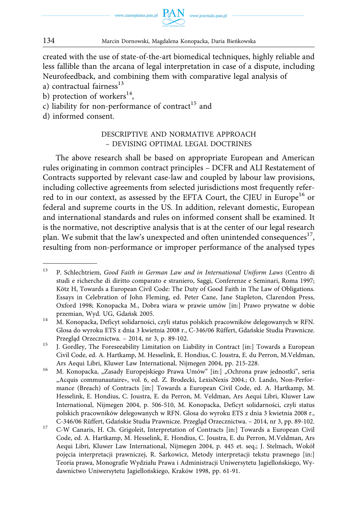

created with the use of state-of-the-art biomedical techniques, highly reliable and less fallible than the arcana of legal interpretation in case of a dispute, including Neurofeedback, and combining them with comparative legal analysis of

- a) contractual fairness $^{13}$
- b) protection of workers<sup>14</sup>,
- c) liability for non-performance of contract<sup>15</sup> and
- d) informed consent.

## DESCRIPTIVE AND NORMATIVE APPROACH – DEVISING OPTIMAL LEGAL DOCTRINES

The above research shall be based on appropriate European and American rules originating in common contract principles – DCFR and ALI Restatement of Contracts supported by relevant case-law and coupled by labour law provisions, including collective agreements from selected jurisdictions most frequently referred to in our context, as assessed by the EFTA Court, the CJEU in Europe<sup>16</sup> or federal and supreme courts in the US. In addition, relevant domestic, European and international standards and rules on informed consent shall be examined. It is the normative, not descriptive analysis that is at the center of our legal research plan. We submit that the law's unexpected and often unintended consequences<sup>17</sup>, resulting from non-performance or improper performance of the analysed types

<sup>13</sup> P. Schlechtriem, *Good Faith in German Law and in International Uniform Laws* (Centro di studi e richerche di diritto comparato e straniero, Saggi, Conferenze e Seminari, Roma 1997; Kötz H, Towards a European Civil Code: The Duty of Good Faith in The Law of Obligations. Essays in Celebration of John Fleming, ed. Peter Cane, Jane Stapleton, Clarendon Press, Oxford 1998; Konopacka M., Dobra wiara w prawie umów [in:] Prawo prywatne w dobie

przemian, Wyd. UG, Gdańsk 2005. 14 M. Konopacka, Deficyt solidarności, czyli status polskich pracowników delegowanych w RFN. Glosa do wyroku ETS z dnia 3 kwietnia 2008 r., C-346/06 Rüffert, Gdańskie Studia Prawnicze. Przegląd Orzecznictwa. – 2014, nr 3, p. 89-102.<br><sup>15</sup> J. Gordley, The Foreseeability Limitation on Liability in Contract [in:] Towards a European

Civil Code, ed. A. Hartkamp, M. Hesselink, E. Hondius, C. Joustra, E. du Perron, M.Veldman,

Ars Aequi Libri, Kluwer Law International, Nijmegen 2004, pp. 215-228.<br><sup>16</sup> M. Konopacka, "Zasady Europejskiego Prawa Umów" [in:] "Ochrona praw jednostki", seria "Acquis communautaire», vol. 6, ed. Z. Brodecki, LexisNexis 2004.; O. Lando, Non-Performance (Breach) of Contracts [in:] Towards a European Civil Code, ed. A. Hartkamp, M. Hesselink, E. Hondius, C. Joustra, E. du Perron, M. Veldman, Ars Aequi Libri, Kluwer Law International, Nijmegen 2004, p. 506-510, M. Konopacka, Deficyt solidarności, czyli status polskich pracowników delegowanych w RFN. Glosa do wyroku ETS z dnia 3 kwietnia 2008 r.,

C-346/06 Rüffert, Gdańskie Studia Prawnicze. Przegląd Orzecznictwa. – 2014, nr 3, pp. 89-102. 17 C-W Canaris, H. Ch. Grigoleit, Interpretation of Contracts [in:] Towards a European Civil Code, ed. A. Hartkamp, M. Hesselink, E. Hondius, C. Joustra, E. du Perron, M.Veldman, Ars Aequi Libri, Kluwer Law International, Nijmegen 2004, p. 445 et. seq.; J. Stelmach, Wokół pojęcia interpretacji prawniczej, R. Sarkowicz, Metody interpretacji tekstu prawnego [in:] Teoria prawa, Monografie Wydziału Prawa i Administracji Uniwersytetu Jagiellońskiego, Wydawnictwo Uniwersytetu Jagiellońskiego, Kraków 1998, pp. 61-91.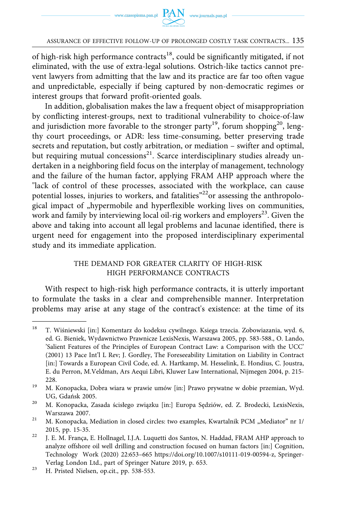of high-risk high performance contracts<sup>18</sup>, could be significantly mitigated, if not eliminated, with the use of extra-legal solutions. Ostrich-like tactics cannot prevent lawyers from admitting that the law and its practice are far too often vague and unpredictable, especially if being captured by non-democratic regimes or interest groups that forward profit-oriented goals.

In addition, globalisation makes the law a frequent object of misappropriation by conflicting interest-groups, next to traditional vulnerability to choice-of-law and jurisdiction more favorable to the stronger party<sup>19</sup>, forum shopping<sup>20</sup>, lengthy court proceedings, or ADR: less time-consuming, better preserving trade secrets and reputation, but costly arbitration, or mediation – swifter and optimal, but requiring mutual concessions<sup>21</sup>. Scarce interdisciplinary studies already undertaken in a neighboring field focus on the interplay of management, technology and the failure of the human factor, applying FRAM AHP approach where the "lack of control of these processes, associated with the workplace, can cause potential losses, injuries to workers, and fatalities<sup>"22</sup>or assessing the anthropological impact of "hypermobile and hyperflexible working lives on communities, work and family by interviewing local oil-rig workers and employers<sup>23</sup>. Given the above and taking into account all legal problems and lacunae identified, there is urgent need for engagement into the proposed interdisciplinary experimental study and its immediate application.

### THE DEMAND FOR GREATER CLARITY OF HIGH-RISK HIGH PERFORMANCE CONTRACTS

With respect to high-risk high performance contracts, it is utterly important to formulate the tasks in a clear and comprehensible manner. Interpretation problems may arise at any stage of the contract's existence: at the time of its

<sup>&</sup>lt;sup>18</sup> T. Wiśniewski [in:] Komentarz do kodeksu cywilnego. Ksiega trzecia. Zobowiazania, wyd. 6, ed. G. Bieniek, Wydawnictwo Prawnicze LexisNexis, Warszawa 2005, pp. 583-588., O. Lando, 'Salient Features of the Principles of European Contract Law: a Comparison with the UCC' (2001) 13 Pace Int'l L Rev; J. Gordley, The Foreseeability Limitation on Liability in Contract [in:] Towards a European Civil Code, ed. A. Hartkamp, M. Hesselink, E. Hondius, C. Joustra, E. du Perron, M.Veldman, Ars Aequi Libri, Kluwer Law International, Nijmegen 2004, p. 215- 228.<br><sup>19</sup> M. Konopacka, Dobra wiara w prawie umów [in:] Prawo prywatne w dobie przemian, Wyd.

UG, Gdańsk 2005. 20 M. Konopacka, Zasada ścisłego związku [in:] Europa Sędziów, ed. Z. Brodecki, LexisNexis,

Warszawa 2007.<br><sup>21</sup> M. Konopacka, Mediation in closed circles: two examples, Kwartalnik PCM "Mediator" nr 1/

<sup>2015,</sup> pp. 15-35. 22 J. E. M. França, E. Hollnagel, I.J.A. Luquetti dos Santos, N. Haddad, FRAM AHP approach to

analyze offshore oil well drilling and construction focused on human factors [in:] Cognition, Technology Work (2020) 22:653–665 [https://doi.org/10.1007/s10111-019-00594-z,](https://doi.org/10.1007/s10111-019-00594-z) Springer-

Verlag London Ltd., part of Springer Nature 2019, p. 653. 23 H. Pristed Nielsen, op.cit., pp. 538-553.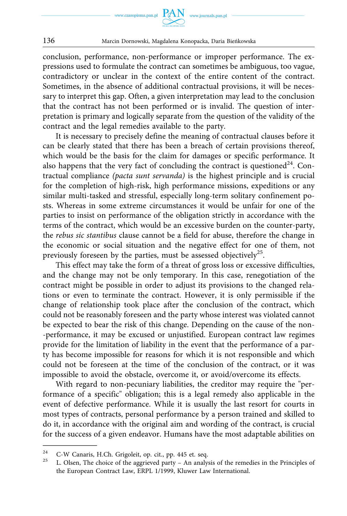

conclusion, performance, non-performance or improper performance. The expressions used to formulate the contract can sometimes be ambiguous, too vague, contradictory or unclear in the context of the entire content of the contract. Sometimes, in the absence of additional contractual provisions, it will be necessary to interpret this gap. Often, a given interpretation may lead to the conclusion that the contract has not been performed or is invalid. The question of interpretation is primary and logically separate from the question of the validity of the contract and the legal remedies available to the party.

It is necessary to precisely define the meaning of contractual clauses before it can be clearly stated that there has been a breach of certain provisions thereof, which would be the basis for the claim for damages or specific performance. It also happens that the very fact of concluding the contract is questioned<sup>24</sup>. Contractual compliance *(pacta sunt servanda)* is the highest principle and is crucial for the completion of high-risk, high performance missions, expeditions or any similar multi-tasked and stressful, especially long-term solitary confinement posts. Whereas in some extreme circumstances it would be unfair for one of the parties to insist on performance of the obligation strictly in accordance with the terms of the contract, which would be an excessive burden on the counter-party, the *rebus sic stantibus* clause cannot be a field for abuse, therefore the change in the economic or social situation and the negative effect for one of them, not previously foreseen by the parties, must be assessed objectively<sup>25</sup>.

This effect may take the form of a threat of gross loss or excessive difficulties, and the change may not be only temporary. In this case, renegotiation of the contract might be possible in order to adjust its provisions to the changed relations or even to terminate the contract. However, it is only permissible if the change of relationship took place after the conclusion of the contract, which could not be reasonably foreseen and the party whose interest was violated cannot be expected to bear the risk of this change. Depending on the cause of the non- -performance, it may be excused or unjustified. European contract law regimes provide for the limitation of liability in the event that the performance of a party has become impossible for reasons for which it is not responsible and which could not be foreseen at the time of the conclusion of the contract, or it was impossible to avoid the obstacle, overcome it, or avoid/overcome its effects.

With regard to non-pecuniary liabilities, the creditor may require the "performance of a specific" obligation; this is a legal remedy also applicable in the event of defective performance. While it is usually the last resort for courts in most types of contracts, personal performance by a person trained and skilled to do it, in accordance with the original aim and wording of the contract, is crucial for the success of a given endeavor. Humans have the most adaptable abilities on

<sup>&</sup>lt;sup>24</sup> C-W Canaris, H.Ch. Grigoleit, op. cit., pp. 445 et. seq.<br><sup>25</sup> L. Olsen, The choice of the aggrieved party – An analysis of the remedies in the Principles of the European Contract Law, ERPL 1/1999, Kluwer Law International.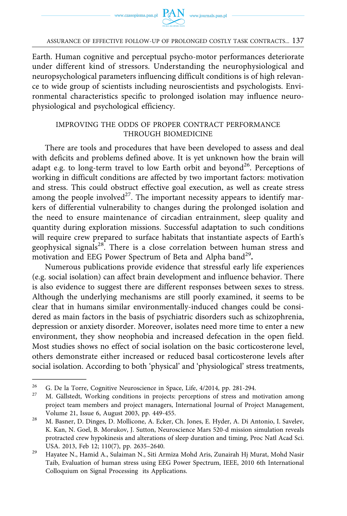Earth. Human cognitive and perceptual psycho-motor performances deteriorate under different kind of stressors. Understanding the neurophysiological and neuropsychological parameters influencing difficult conditions is of high relevance to wide group of scientists including neuroscientists and psychologists. Environmental characteristics specific to prolonged isolation may influence neurophysiological and psychological efficiency.

## IMPROVING THE ODDS OF PROPER CONTRACT PERFORMANCE THROUGH BIOMEDICINE

There are tools and procedures that have been developed to assess and deal with deficits and problems defined above. It is yet unknown how the brain will adapt e.g. to long-term travel to low Earth orbit and beyond<sup>26</sup>. Perceptions of working in difficult conditions are affected by two important factors: motivation and stress. This could obstruct effective goal execution, as well as create stress among the people involved<sup>27</sup>. The important necessity appears to identify markers of differential vulnerability to changes during the prolonged isolation and the need to ensure maintenance of circadian entrainment, sleep quality and quantity during exploration missions. Successful adaptation to such conditions will require crew prepared to surface habitats that instantiate aspects of Earth's geophysical signals<sup>28</sup>. There is a close correlation between human stress and motivation and EEG Power Spectrum of Beta and Alpha band<sup>29</sup>.

Numerous publications provide evidence that stressful early life experiences (e.g. social isolation) can affect brain development and influence behavior. There is also evidence to suggest there are different responses between sexes to stress. Although the underlying mechanisms are still poorly examined, it seems to be clear that in humans similar environmentally-induced changes could be considered as main factors in the basis of psychiatric disorders such as schizophrenia, depression or anxiety disorder. Moreover, isolates need more time to enter a new environment, they show neophobia and increased defecation in the open field. Most studies shows no effect of social isolation on the basic corticosterone level, others demonstrate either increased or reduced basal corticosterone levels after social isolation. According to both 'physical' and 'physiological' stress treatments,

<sup>&</sup>lt;sup>26</sup> G. De la Torre, Cognitive Neuroscience in Space, Life, 4/2014, pp. 281-294.<br><sup>27</sup> M. Gällstedt, Working conditions in projects: perceptions of stress and motivation among project team members and project managers, International Journal of Project Management, Volume 21, Issue 6, August 2003, pp. 449-455. 28 M. Basner, D. Dinges, D. Mollicone, A. Ecker, Ch. Jones, E. Hyder, A. Di Antonio, I. Savelev,

K. Kan, N. Goel, B. Morukov, J. Sutton, Neuroscience Mars 520-d mission simulation reveals protracted crew hypokinesis and alterations of sleep duration and timing, Proc Natl Acad Sci. USA. 2013, Feb 12; 110(7), pp. 2635–2640. 29 Hayatee N., Hamid A., Sulaiman N., Siti Armiza Mohd Aris, Zunairah Hj Murat, Mohd Nasir

Taib, Evaluation of human stress using EEG Power Spectrum, IEEE, 2010 6th International Colloquium on Signal Processing its Applications.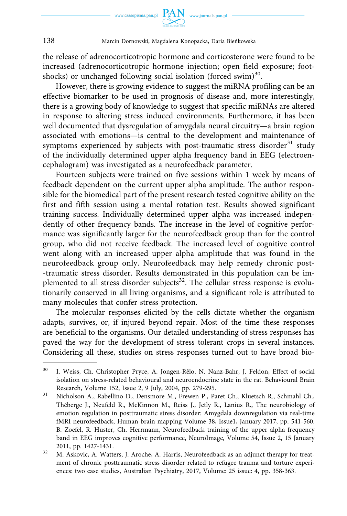

the release of adrenocorticotropic hormone and corticosterone were found to be increased (adrenocorticotropic hormone injection; open field exposure; footshocks) or unchanged following social isolation (forced swim)<sup>30</sup>.

However, there is growing evidence to suggest the miRNA profiling can be an effective biomarker to be used in prognosis of disease and, more interestingly, there is a growing body of knowledge to suggest that specific miRNAs are altered in response to altering stress induced environments. Furthermore, it has been well documented that dysregulation of amygdala neural circuitry—a brain region associated with emotions—is central to the development and maintenance of symptoms experienced by subjects with post-traumatic stress disorder<sup>31</sup> study of the individually determined upper alpha frequency band in EEG (electroencephalogram) was investigated as a neurofeedback parameter.

Fourteen subjects were trained on five sessions within 1 week by means of feedback dependent on the current upper alpha amplitude. The author responsible for the biomedical part of the present research tested cognitive ability on the first and fifth session using a mental rotation test. Results showed significant training success. Individually determined upper alpha was increased independently of other frequency bands. The increase in the level of cognitive performance was significantly larger for the neurofeedback group than for the control group, who did not receive feedback. The increased level of cognitive control went along with an increased upper alpha amplitude that was found in the neurofeedback group only. Neurofeedback may help remedy chronic post- -traumatic stress disorder. Results demonstrated in this population can be implemented to all stress disorder subjects<sup>32</sup>. The cellular stress response is evolutionarily conserved in all living organisms, and a significant role is attributed to many molecules that confer stress protection.

The molecular responses elicited by the cells dictate whether the organism adapts, survives, or, if injured beyond repair. Most of the time these responses are beneficial to the organisms. Our detailed understanding of stress responses has paved the way for the development of stress tolerant crops in several instances. Considering all these, studies on stress responses turned out to have broad bio-

<sup>&</sup>lt;sup>30</sup> I. Weiss, Ch. Christopher Pryce, A. Jongen-Rêlo, N. Nanz-Bahr, J. Feldon, Effect of social isolation on stress-related behavioural and neuroendocrine state in the rat. Behavioural Brain Research, Volume 152, Issue 2, 9 July, 2004, pp. 279-295.<br>31 Nicholson A., Rabellino D., Densmore M., Frewen P., Paret Ch., Kluetsch R., Schmahl Ch.,

Théberge J., Neufeld R., McKinnon M., Reiss J., Jetly R., Lanius R., The neurobiology of emotion regulation in posttraumatic stress disorder: Amygdala downregulation via real-time fMRI neurofeedback, Human brain mapping Volume 38, Issue1, January 2017, pp. 541-560. B. Zoefel, R. Huster, Ch. Herrmann, Neurofeedback training of the upper alpha frequency band in EEG improves cognitive performance, NeuroImage, Volume 54, Issue 2, 15 January 2011, pp. 1427-1431.<br><sup>32</sup> M. Askovic, A. Watters, J. Aroche, A. Harris, Neurofeedback as an adjunct therapy for treat-

ment of chronic posttraumatic stress disorder related to refugee trauma and torture experiences: two case studies, Australian Psychiatry, 2017, Volume: 25 issue: 4, pp. 358-363.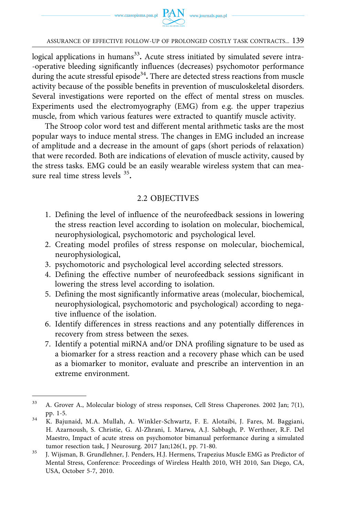logical applications in humans<sup>33</sup>. Acute stress initiated by simulated severe intra--operative bleeding significantly influences (decreases) psychomotor performance during the acute stressful episode<sup>34</sup>. There are detected stress reactions from muscle activity because of the possible benefits in prevention of musculoskeletal disorders. Several investigations were reported on the effect of mental stress on muscles. Experiments used the electromyography (EMG) from e.g. the upper trapezius muscle, from which various features were extracted to quantify muscle activity.

The Stroop color word test and different mental arithmetic tasks are the most popular ways to induce mental stress. The changes in EMG included an increase of amplitude and a decrease in the amount of gaps (short periods of relaxation) that were recorded. Both are indications of elevation of muscle activity, caused by the stress tasks. EMG could be an easily wearable wireless system that can measure real time stress levels 35**.** 

## 2.2 OBJECTIVES

- 1. Defining the level of influence of the neurofeedback sessions in lowering the stress reaction level according to isolation on molecular, biochemical, neurophysiological, psychomotoric and psychological level.
- 2. Creating model profiles of stress response on molecular, biochemical, neurophysiological,
- 3. psychomotoric and psychological level according selected stressors.
- 4. Defining the effective number of neurofeedback sessions significant in lowering the stress level according to isolation.
- 5. Defining the most significantly informative areas (molecular, biochemical, neurophysiological, psychomotoric and psychological) according to negative influence of the isolation.
- 6. Identify differences in stress reactions and any potentially differences in recovery from stress between the sexes.
- 7. Identify a potential miRNA and/or DNA profiling signature to be used as a biomarker for a stress reaction and a recovery phase which can be used as a biomarker to monitor, evaluate and prescribe an intervention in an extreme environment.

<sup>33</sup> A. Grover A., Molecular biology of stress responses, Cell Stress Chaperones. 2002 Jan; 7(1), pp. 1-5. 34 K. Bajunaid, M.A. Mullah, A. Winkler-Schwartz, F. E. Alotaibi, J. Fares, M. Baggiani,

H. Azarnoush, S. Christie, G. Al-Zhrani, I. Marwa, A.J. Sabbagh, P. Werthner, R.F. Del Maestro, Impact of acute stress on psychomotor bimanual performance during a simulated

tumor resection task, J Neurosurg. 2017 Jan;126(1, pp. 71-80.<br><sup>35</sup> J. Wijsman, B. Grundlehner, J. Penders, H.J. Hermens, Trapezius Muscle EMG as Predictor of Mental Stress, Conference: Proceedings of Wireless Health 2010, WH 2010, San Diego, CA, USA, October 5-7, 2010.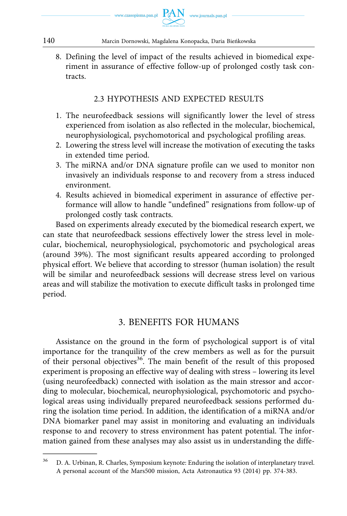

8. Defining the level of impact of the results achieved in biomedical experiment in assurance of effective follow-up of prolonged costly task contracts.

# 2.3 HYPOTHESIS AND EXPECTED RESULTS

- 1. The neurofeedback sessions will significantly lower the level of stress experienced from isolation as also reflected in the molecular, biochemical, neurophysiological, psychomotorical and psychological profiling areas.
- 2. Lowering the stress level will increase the motivation of executing the tasks in extended time period.
- 3. The miRNA and/or DNA signature profile can we used to monitor non invasively an individuals response to and recovery from a stress induced environment.
- 4. Results achieved in biomedical experiment in assurance of effective performance will allow to handle "undefined" resignations from follow-up of prolonged costly task contracts.

Based on experiments already executed by the biomedical research expert, we can state that neurofeedback sessions effectively lower the stress level in molecular, biochemical, neurophysiological, psychomotoric and psychological areas (around 39%). The most significant results appeared according to prolonged physical effort. We believe that according to stressor (human isolation) the result will be similar and neurofeedback sessions will decrease stress level on various areas and will stabilize the motivation to execute difficult tasks in prolonged time period.

# 3. BENEFITS FOR HUMANS

Assistance on the ground in the form of psychological support is of vital importance for the tranquility of the crew members as well as for the pursuit of their personal objectives<sup>36</sup>. The main benefit of the result of this proposed experiment is proposing an effective way of dealing with stress – lowering its level (using neurofeedback) connected with isolation as the main stressor and according to molecular, biochemical, neurophysiological, psychomotoric and psychological areas using individually prepared neurofeedback sessions performed during the isolation time period. In addition, the identification of a miRNA and/or DNA biomarker panel may assist in monitoring and evaluating an individuals response to and recovery to stress environment has patent potential. The information gained from these analyses may also assist us in understanding the diffe-

<sup>&</sup>lt;sup>36</sup> D. A. Urbinan, R. Charles, Symposium keynote: Enduring the isolation of interplanetary travel. A personal account of the Mars500 mission, Acta Astronautica 93 (2014) pp. 374-383.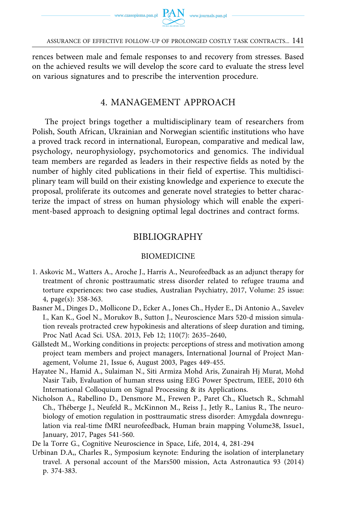

rences between male and female responses to and recovery from stresses. Based on the achieved results we will develop the score card to evaluate the stress level on various signatures and to prescribe the intervention procedure.

# 4. MANAGEMENT APPROACH

The project brings together a multidisciplinary team of researchers from Polish, South African, Ukrainian and Norwegian scientific institutions who have a proved track record in international, European, comparative and medical law, psychology, neurophysiology, psychomotorics and genomics. The individual team members are regarded as leaders in their respective fields as noted by the number of highly cited publications in their field of expertise. This multidisciplinary team will build on their existing knowledge and experience to execute the proposal, proliferate its outcomes and generate novel strategies to better characterize the impact of stress on human physiology which will enable the experiment-based approach to designing optimal legal doctrines and contract forms.

# BIBLIOGRAPHY

### BIOMEDICINE

- 1. Askovic M., Watters A., Aroche J., Harris A., Neurofeedback as an adjunct therapy for treatment of chronic posttraumatic stress disorder related to refugee trauma and torture experiences: two case studies, Australian Psychiatry, 2017, Volume: 25 issue: 4, page(s): 358-363.
- Basner M., Dinges D., Mollicone D., Ecker A., Jones Ch., Hyder E., Di Antonio A., Savelev I., Kan K., Goel N., Morukov B., Sutton J., Neuroscience Mars 520-d mission simulation reveals protracted crew hypokinesis and alterations of sleep duration and timing, Proc Natl Acad Sci. USA. 2013, Feb 12; 110(7): 2635–2640,
- Gällstedt M., Working conditions in projects: perceptions of stress and motivation among project team members and project managers, International Journal of Project Management, Volume 21, Issue 6, August 2003, Pages 449-455.
- Hayatee N., Hamid A., Sulaiman N., Siti Armiza Mohd Aris, Zunairah Hj Murat, Mohd Nasir Taib, Evaluation of human stress using EEG Power Spectrum, IEEE, 2010 6th International Colloquium on Signal Processing & its Applications.
- Nicholson A., Rabellino D., Densmore M., Frewen P., Paret Ch., Kluetsch R., Schmahl Ch., Théberge J., Neufeld R., McKinnon M., Reiss J., Jetly R., Lanius R., The neurobiology of emotion regulation in posttraumatic stress disorder: Amygdala downregulation via real-time fMRI neurofeedback, Human brain mapping Volume38, Issue1, January, 2017, Pages 541-560.
- De la Torre G., Cognitive Neuroscience in Space, Life, 2014, 4, 281-294
- Urbinan D.A,, Charles R., Symposium keynote: Enduring the isolation of interplanetary travel. A personal account of the Mars500 mission, Acta Astronautica 93 (2014) p. 374-383.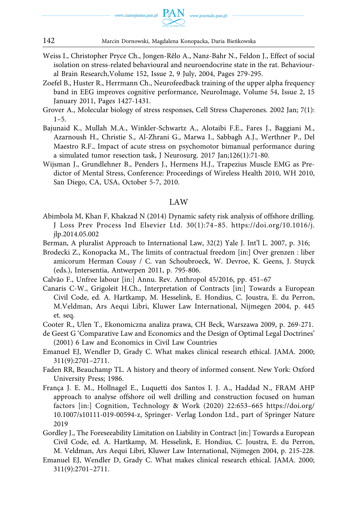

- Weiss I., Christopher Pryce Ch., Jongen-Rêlo A., Nanz-Bahr N., Feldon J., Effect of social isolation on stress-related behavioural and neuroendocrine state in the rat. Behavioural Brain Research,Volume 152, Issue 2, 9 July, 2004, Pages 279-295.
- Zoefel B., Huster R., Herrmann Ch., Neurofeedback training of the upper alpha frequency band in EEG improves cognitive performance, NeuroImage, Volume 54, Issue 2, 15 January 2011, Pages 1427-1431.
- Grover A., Molecular biology of stress responses, Cell Stress Chaperones. 2002 Jan; 7(1):  $1 - 5$ .
- Bajunaid K., Mullah M.A., Winkler-Schwartz A., Alotaibi F.E., Fares J., Baggiani M., Azarnoush H., Christie S., Al-Zhrani G., Marwa I., Sabbagh A.J., Werthner P., Del Maestro R.F., Impact of acute stress on psychomotor bimanual performance during a simulated tumor resection task, J Neurosurg. 2017 Jan;126(1):71-80.
- Wijsman J., Grundlehner B., Penders J., Hermens H.J., Trapezius Muscle EMG as Predictor of Mental Stress, Conference: Proceedings of Wireless Health 2010, WH 2010, San Diego, CA, USA, October 5-7, 2010.

#### LAW

- Abimbola M, Khan F, Khakzad N (2014) Dynamic safety risk analysis of offshore drilling. J Loss Prev Process Ind Elsevier Ltd. 30(1):74–85. [https://doi.org/10.1016/j.](https://doi.org/10.1016/j.jlp.2014.05.002) [jlp.2014.05.002](https://doi.org/10.1016/j.jlp.2014.05.002)
- Berman, A pluralist Approach to International Law, 32(2) Yale J. Int'l L. 2007, p. 316;
- Brodecki Z., Konopacka M., The limits of contractual freedom [in:] Over grenzen : liber amicorum Herman Cousy / C. van Schoubroeck, W. Devroe, K. Geens, J. Stuyck (eds.), Intersentia, Antwerpen 2011, p. 795-806.
- Calvão F., Unfree labour [in:] Annu. Rev. Anthropol 45/2016, pp. 451–67
- Canaris C-W., Grigoleit H.Ch., Interpretation of Contracts [in:] Towards a European Civil Code, ed. A. Hartkamp, M. Hesselink, E. Hondius, C. Joustra, E. du Perron, M.Veldman, Ars Aequi Libri, Kluwer Law International, Nijmegen 2004, p. 445 et. seq.
- Cooter R., Ulen T., Ekonomiczna analiza prawa, CH Beck, Warszawa 2009, p. 269-271.
- de Geest G 'Comparative Law and Economics and the Design of Optimal Legal Doctrines' (2001) 6 Law and Economics in Civil Law Countries
- Emanuel EJ, Wendler D, Grady C. What makes clinical research ethical. JAMA. 2000; 311(9):2701–2711.
- Faden RR, Beauchamp TL. A history and theory of informed consent. New York: Oxford University Press; 1986.
- França J. E. M., Hollnagel E., Luquetti dos Santos I. J. A., Haddad N., FRAM AHP approach to analyse offshore oil well drilling and construction focused on human factors [in:] Cognition, Technology & Work (2020) 22:653–665 [https://doi.org/](https://doi.org/10.1007/s10111-019-00594-z)  [10.1007/s10111-019-00594-z,](https://doi.org/10.1007/s10111-019-00594-z) Springer- Verlag London Ltd., part of Springer Nature 2019
- Gordley J., The Foreseeability Limitation on Liability in Contract [in:] Towards a European Civil Code, ed. A. Hartkamp, M. Hesselink, E. Hondius, C. Joustra, E. du Perron, M. Veldman, Ars Aequi Libri, Kluwer Law International, Nijmegen 2004, p. 215-228.
- Emanuel EJ, Wendler D, Grady C. What makes clinical research ethical. JAMA. 2000; 311(9):2701–2711.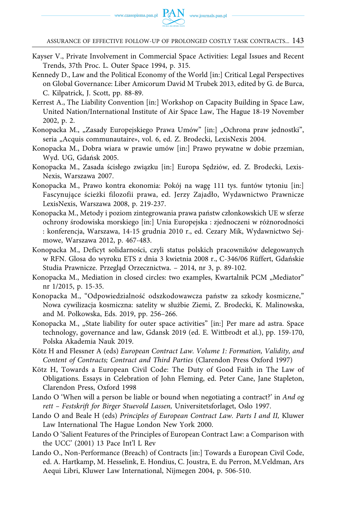- Kayser V., Private Involvement in Commercial Space Activities: Legal Issues and Recent Trends, 37th Proc. L. Outer Space 1994, p. 315.
- Kennedy D., Law and the Political Economy of the World [in:] Critical Legal Perspectives on Global Governance: Liber Amicorum David M Trubek 2013, edited by G. de Burca, C. Kilpatrick, J. Scott, pp. 88-89.
- Kerrest A., The Liability Convention [in:] Workshop on Capacity Building in Space Law, United Nation/International Institute of Air Space Law, The Hague 18-19 November 2002, p. 2.
- Konopacka M., "Zasady Europejskiego Prawa Umów" [in:] "Ochrona praw jednostki", seria "Acquis communautaire», vol. 6, ed. Z. Brodecki, LexisNexis 2004.
- Konopacka M., Dobra wiara w prawie umów [in:] Prawo prywatne w dobie przemian, Wyd. UG, Gdańsk 2005.
- Konopacka M., Zasada ścisłego związku [in:] Europa Sędziów, ed. Z. Brodecki, Lexis-Nexis, Warszawa 2007.
- Konopacka M., Prawo kontra ekonomia: Pokój na wagę 111 tys. funtów tytoniu [in:] Fascynujące ścieżki filozofii prawa, ed. Jerzy Zajadło, Wydawnictwo Prawnicze LexisNexis, Warszawa 2008, p. 219-237.
- Konopacka M., Metody i poziom zintegrowania prawa państw członkowskich UE w sferze ochrony środowiska morskiego [in:] Unia Europejska : zjednoczeni w różnorodności : konferencja, Warszawa, 14-15 grudnia 2010 r., ed. Cezary Mik, Wydawnictwo Sejmowe, Warszawa 2012, p. 467-483.
- Konopacka M., Deficyt solidarności, czyli status polskich pracowników delegowanych w RFN. Glosa do wyroku ETS z dnia 3 kwietnia 2008 r., C-346/06 Rüffert, Gdańskie Studia Prawnicze. Przegląd Orzecznictwa. – 2014, nr 3, p. 89-102.
- Konopacka M., Mediation in closed circles: two examples, Kwartalnik PCM "Mediator" nr 1/2015, p. 15-35.
- Konopacka M., "Odpowiedzialność odszkodowawcza państw za szkody kosmiczne," Nowa cywilizacja kosmiczna: satelity w służbie Ziemi, Z. Brodecki, K. Malinowska, and M. Polkowska, Eds. 2019, pp. 256–266.
- Konopacka M., "State liability for outer space activities" [in:] Per mare ad astra. Space technology, governance and law, Gdansk 2019 (ed. E. Wittbrodt et al.), pp. 159-170, Polska Akademia Nauk 2019.
- Kötz H and Flessner A (eds) *European Contract Law. Volume 1: Formation, Validity, and Content of Contracts; Contract and Third Parties* (Clarendon Press Oxford 1997)
- Kötz H, Towards a European Civil Code: The Duty of Good Faith in The Law of Obligations. Essays in Celebration of John Fleming, ed. Peter Cane, Jane Stapleton, Clarendon Press, Oxford 1998
- Lando O 'When will a person be liable or bound when negotiating a contract?' in *And og rett – Festskrift for Birger Stuevold Lassen,* Universitetsforlaget, Oslo 1997.
- Lando O and Beale H (eds) *Principles of European Contract Law. Parts I and II,* Kluwer Law International The Hague London New York 2000.
- Lando O 'Salient Features of the Principles of European Contract Law: a Comparison with the UCC' (2001) 13 Pace Int'l L Rev
- Lando O., Non-Performance (Breach) of Contracts [in:] Towards a European Civil Code, ed. A. Hartkamp, M. Hesselink, E. Hondius, C. Joustra, E. du Perron, M.Veldman, Ars Aequi Libri, Kluwer Law International, Nijmegen 2004, p. 506-510.